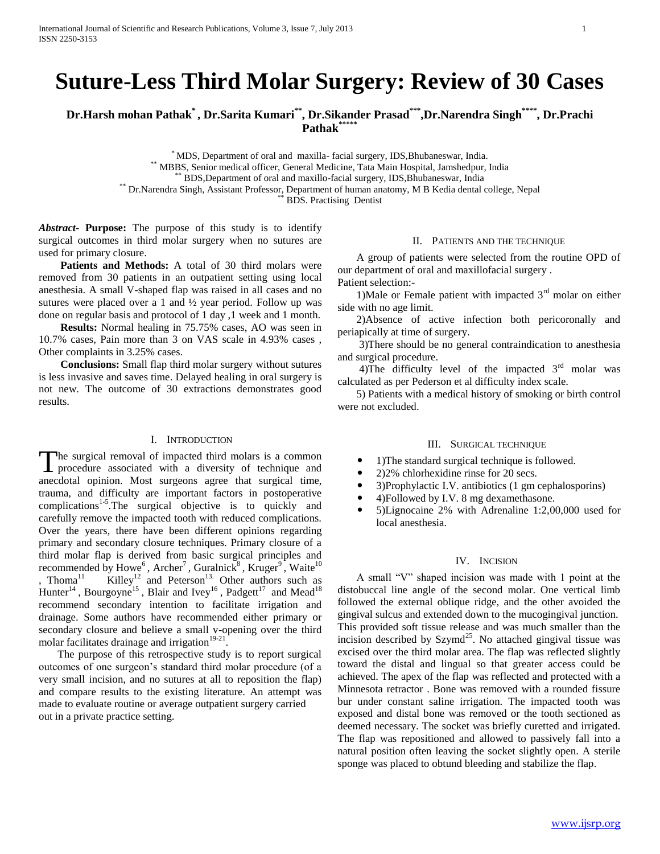# **Suture-Less Third Molar Surgery: Review of 30 Cases**

**Dr.Harsh mohan Pathak\* , Dr.Sarita Kumari\*\*, Dr.Sikander Prasad\*\*\*,Dr.Narendra Singh\*\*\*\*, Dr.Prachi Pathak\*\*\*\*\***

\* MDS, Department of oral and maxilla- facial surgery, IDS,Bhubaneswar, India.

\*\* MBBS, Senior medical officer, General Medicine, Tata Main Hospital, Jamshedpur, India

\*\* BDS,Department of oral and maxillo-facial surgery, IDS,Bhubaneswar, India

\*\* Dr.Narendra Singh, Assistant Professor, Department of human anatomy, M B Kedia dental college, Nepal

BDS. Practising Dentist

*Abstract***- Purpose:** The purpose of this study is to identify surgical outcomes in third molar surgery when no sutures are used for primary closure.

Patients and Methods: A total of 30 third molars were removed from 30 patients in an outpatient setting using local anesthesia. A small V-shaped flap was raised in all cases and no sutures were placed over a 1 and ½ year period. Follow up was done on regular basis and protocol of 1 day ,1 week and 1 month.

 **Results:** Normal healing in 75.75% cases, AO was seen in 10.7% cases, Pain more than 3 on VAS scale in 4.93% cases , Other complaints in 3.25% cases.

 **Conclusions:** Small flap third molar surgery without sutures is less invasive and saves time. Delayed healing in oral surgery is not new. The outcome of 30 extractions demonstrates good results.

## I. INTRODUCTION

The surgical removal of impacted third molars is a common The surgical removal of impacted third molars is a common procedure associated with a diversity of technique and anecdotal opinion. Most surgeons agree that surgical time, trauma, and difficulty are important factors in postoperative  $compications<sup>1-5</sup>. The surgical objective is to quickly and$ carefully remove the impacted tooth with reduced complications. Over the years, there have been different opinions regarding primary and secondary closure techniques. Primary closure of a third molar flap is derived from basic surgical principles and recommended by Howe<sup>6</sup>, Archer<sup>7</sup>, Guralnick<sup>8</sup>, Kruger<sup>9</sup>, Waite<sup>10</sup> , Thoma<sup>11</sup> Killey<sup>12</sup> and Peterson<sup>13.</sup> Other authors such as Hunter<sup>14</sup>, Bourgoyne<sup>15</sup>, Blair and Ivey<sup>16</sup>, Padgett<sup>17</sup> and Mead<sup>18</sup> recommend secondary intention to facilitate irrigation and drainage. Some authors have recommended either primary or secondary closure and believe a small v-opening over the third molar facilitates drainage and irrigation $19-21$ .

 The purpose of this retrospective study is to report surgical outcomes of one surgeon"s standard third molar procedure (of a very small incision, and no sutures at all to reposition the flap) and compare results to the existing literature. An attempt was made to evaluate routine or average outpatient surgery carried out in a private practice setting.

#### II. PATIENTS AND THE TECHNIQUE

 A group of patients were selected from the routine OPD of our department of oral and maxillofacial surgery . Patient selection:-

1)Male or Female patient with impacted  $3<sup>rd</sup>$  molar on either side with no age limit.

 2)Absence of active infection both pericoronally and periapically at time of surgery.

 3)There should be no general contraindication to anesthesia and surgical procedure.

4)The difficulty level of the impacted  $3<sup>rd</sup>$  molar was calculated as per Pederson et al difficulty index scale.

 5) Patients with a medical history of smoking or birth control were not excluded.

## III. SURGICAL TECHNIQUE

1)The standard surgical technique is followed.

- 2)2% chlorhexidine rinse for 20 secs.
- 3)Prophylactic I.V. antibiotics (1 gm cephalosporins)
- 4)Followed by I.V. 8 mg dexamethasone.
- 5)Lignocaine 2% with Adrenaline 1:2,00,000 used for local anesthesia.

## IV. INCISION

 A small "V" shaped incision was made with 1 point at the distobuccal line angle of the second molar. One vertical limb followed the external oblique ridge, and the other avoided the gingival sulcus and extended down to the mucogingival junction. This provided soft tissue release and was much smaller than the incision described by  $Szymd<sup>25</sup>$ . No attached gingival tissue was excised over the third molar area. The flap was reflected slightly toward the distal and lingual so that greater access could be achieved. The apex of the flap was reflected and protected with a Minnesota retractor . Bone was removed with a rounded fissure bur under constant saline irrigation. The impacted tooth was exposed and distal bone was removed or the tooth sectioned as deemed necessary. The socket was briefly curetted and irrigated. The flap was repositioned and allowed to passively fall into a natural position often leaving the socket slightly open. A sterile sponge was placed to obtund bleeding and stabilize the flap.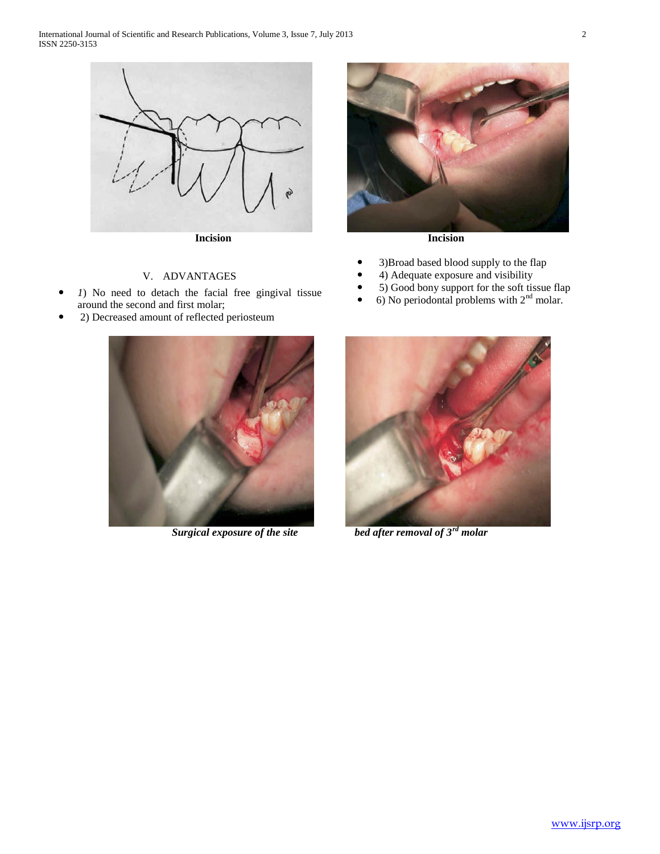

## V. ADVANTAGES

- *1*) No need to detach the facial free gingival tissue around the second and first molar;
- 2) Decreased amount of reflected periosteum





- 3)Broad based blood supply to the flap
- 4) Adequate exposure and visibility
- 5) Good bony support for the soft tissue flap
- $\bullet$  6) No periodontal problems with  $2<sup>nd</sup>$  molar.



*Surgical exposure of the site bed after removal of 3rd molar*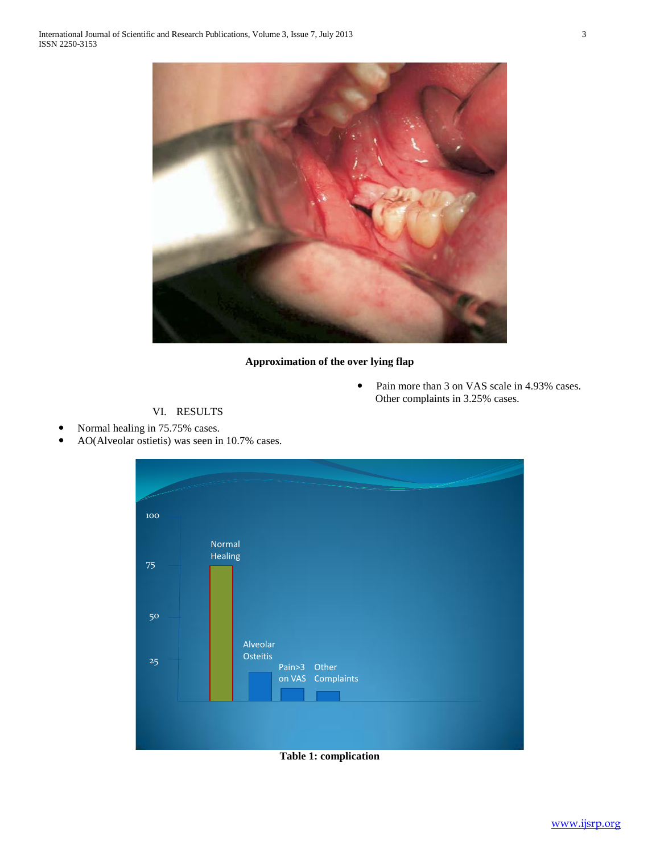

# **Approximation of the over lying flap**

• Pain more than 3 on VAS scale in 4.93% cases. Other complaints in 3.25% cases.

# VI. RESULTS

- Normal healing in 75.75% cases.
- AO(Alveolar ostietis) was seen in 10.7% cases.



**Table 1: complication**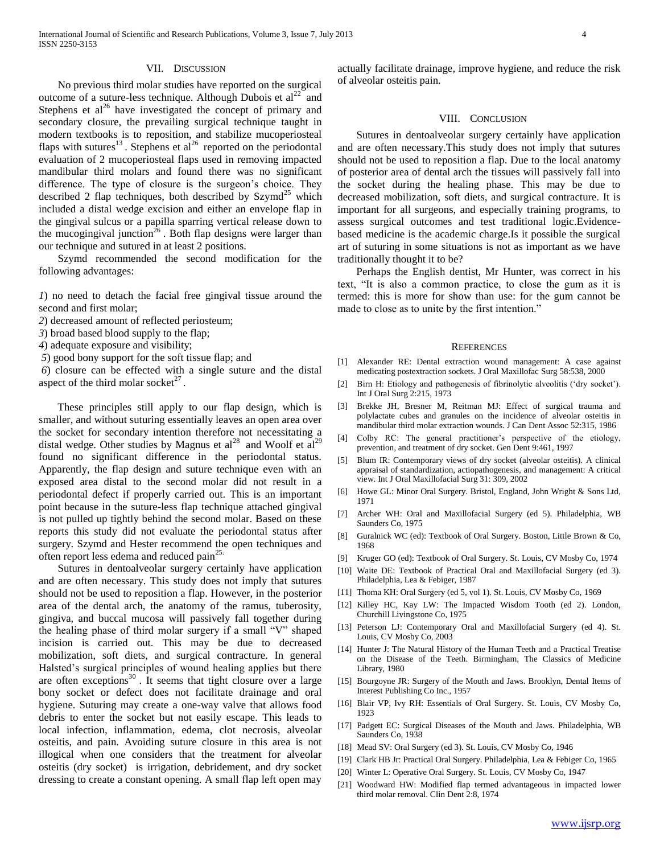## VII. DISCUSSION

 No previous third molar studies have reported on the surgical outcome of a suture-less technique. Although Dubois et  $al^{22}$  and Stephens et  $al^{26}$  have investigated the concept of primary and secondary closure, the prevailing surgical technique taught in modern textbooks is to reposition, and stabilize mucoperiosteal flaps with sutures<sup>13</sup>. Stephens et al<sup>26</sup> reported on the periodontal evaluation of 2 mucoperiosteal flaps used in removing impacted mandibular third molars and found there was no significant difference. The type of closure is the surgeon"s choice. They described 2 flap techniques, both described by  $Szymd<sup>25</sup>$  which included a distal wedge excision and either an envelope flap in the gingival sulcus or a papilla sparring vertical release down to the mucogingival junction<sup>26</sup>. Both flap designs were larger than our technique and sutured in at least 2 positions.

 Szymd recommended the second modification for the following advantages:

*1*) no need to detach the facial free gingival tissue around the second and first molar;

*2*) decreased amount of reflected periosteum;

*3*) broad based blood supply to the flap;

*4*) adequate exposure and visibility;

*5*) good bony support for the soft tissue flap; and

*6*) closure can be effected with a single suture and the distal aspect of the third molar socket $2^7$ .

 These principles still apply to our flap design, which is smaller, and without suturing essentially leaves an open area over the socket for secondary intention therefore not necessitating a distal wedge. Other studies by Magnus et  $al^{28}$  and Woolf et  $al^{29}$ found no significant difference in the periodontal status. Apparently, the flap design and suture technique even with an exposed area distal to the second molar did not result in a periodontal defect if properly carried out. This is an important point because in the suture-less flap technique attached gingival is not pulled up tightly behind the second molar. Based on these reports this study did not evaluate the periodontal status after surgery. Szymd and Hester recommend the open techniques and often report less edema and reduced pain<sup>25.</sup>

 Sutures in dentoalveolar surgery certainly have application and are often necessary. This study does not imply that sutures should not be used to reposition a flap. However, in the posterior area of the dental arch, the anatomy of the ramus, tuberosity, gingiva, and buccal mucosa will passively fall together during the healing phase of third molar surgery if a small "V" shaped incision is carried out. This may be due to decreased mobilization, soft diets, and surgical contracture. In general Halsted"s surgical principles of wound healing applies but there are often exceptions $30$ . It seems that tight closure over a large bony socket or defect does not facilitate drainage and oral hygiene. Suturing may create a one-way valve that allows food debris to enter the socket but not easily escape. This leads to local infection, inflammation, edema, clot necrosis, alveolar osteitis, and pain. Avoiding suture closure in this area is not illogical when one considers that the treatment for alveolar osteitis (dry socket) is irrigation, debridement, and dry socket dressing to create a constant opening. A small flap left open may

actually facilitate drainage, improve hygiene, and reduce the risk of alveolar osteitis pain.

#### VIII. CONCLUSION

 Sutures in dentoalveolar surgery certainly have application and are often necessary.This study does not imply that sutures should not be used to reposition a flap. Due to the local anatomy of posterior area of dental arch the tissues will passively fall into the socket during the healing phase. This may be due to decreased mobilization, soft diets, and surgical contracture. It is important for all surgeons, and especially training programs, to assess surgical outcomes and test traditional logic.Evidencebased medicine is the academic charge.Is it possible the surgical art of suturing in some situations is not as important as we have traditionally thought it to be?

 Perhaps the English dentist, Mr Hunter, was correct in his text, "It is also a common practice, to close the gum as it is termed: this is more for show than use: for the gum cannot be made to close as to unite by the first intention."

#### **REFERENCES**

- [1] Alexander RE: Dental extraction wound management: A case against medicating postextraction sockets. J Oral Maxillofac Surg 58:538, 2000
- [2] Birn H: Etiology and pathogenesis of fibrinolytic alveolitis ('dry socket'). Int J Oral Surg 2:215, 1973
- Brekke JH, Bresner M, Reitman MJ: Effect of surgical trauma and polylactate cubes and granules on the incidence of alveolar osteitis in mandibular third molar extraction wounds. J Can Dent Assoc 52:315, 1986
- [4] Colby RC: The general practitioner's perspective of the etiology, prevention, and treatment of dry socket. Gen Dent 9:461, 1997
- [5] Blum IR: Contemporary views of dry socket (alveolar osteitis). A clinical appraisal of standardization, actiopathogenesis, and management: A critical view. Int J Oral Maxillofacial Surg 31: 309, 2002
- [6] Howe GL: Minor Oral Surgery. Bristol, England, John Wright & Sons Ltd, 1971
- [7] Archer WH: Oral and Maxillofacial Surgery (ed 5). Philadelphia, WB Saunders Co, 1975
- [8] Guralnick WC (ed): Textbook of Oral Surgery. Boston, Little Brown & Co, 1968
- [9] Kruger GO (ed): Textbook of Oral Surgery. St. Louis, CV Mosby Co, 1974
- [10] Waite DE: Textbook of Practical Oral and Maxillofacial Surgery (ed 3). Philadelphia, Lea & Febiger, 1987
- [11] Thoma KH: Oral Surgery (ed 5, vol 1). St. Louis, CV Mosby Co, 1969
- [12] Killey HC, Kay LW: The Impacted Wisdom Tooth (ed 2). London, Churchill Livingstone Co, 1975
- [13] Peterson LJ: Contemporary Oral and Maxillofacial Surgery (ed 4). St. Louis, CV Mosby Co, 2003
- [14] Hunter J: The Natural History of the Human Teeth and a Practical Treatise on the Disease of the Teeth. Birmingham, The Classics of Medicine Library, 1980
- [15] Bourgoyne JR: Surgery of the Mouth and Jaws. Brooklyn, Dental Items of Interest Publishing Co Inc., 1957
- [16] Blair VP, Ivy RH: Essentials of Oral Surgery. St. Louis, CV Mosby Co, 1923
- [17] Padgett EC: Surgical Diseases of the Mouth and Jaws. Philadelphia, WB Saunders Co, 1938
- [18] Mead SV: Oral Surgery (ed 3). St. Louis, CV Mosby Co, 1946
- [19] Clark HB Jr: Practical Oral Surgery. Philadelphia, Lea & Febiger Co, 1965
- [20] Winter L: Operative Oral Surgery. St. Louis, CV Mosby Co, 1947
- [21] Woodward HW: Modified flap termed advantageous in impacted lower third molar removal. Clin Dent 2:8, 1974